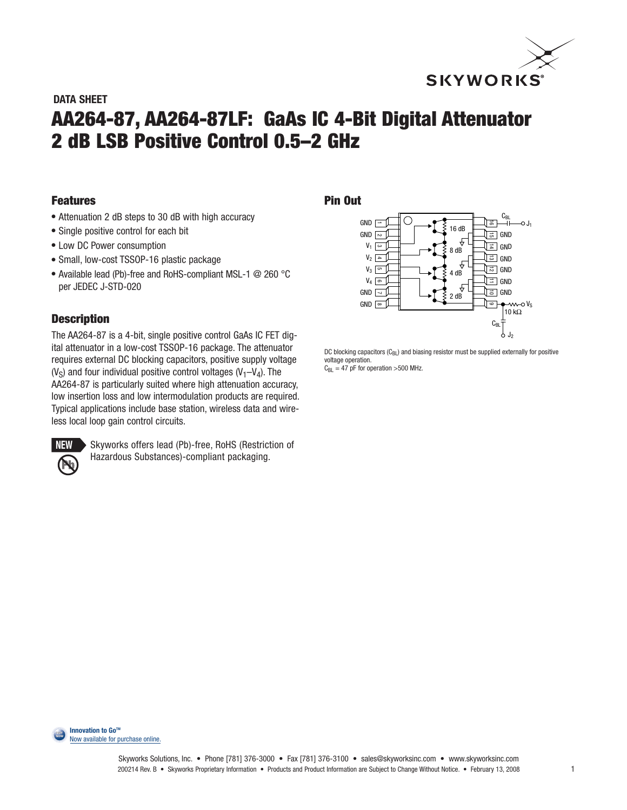

#### **DATA SHEET**

# **AA264-87, AA264-87LF: GaAs IC 4-Bit Digital Attenuator 2 dB LSB Positive Control 0.5–2 GHz**

### **Features**

- **●** Attenuation 2 dB steps to 30 dB with high accuracy
- **●** Single positive control for each bit
- **●** Low DC Power consumption
- **●** Small, low-cost TSSOP-16 plastic package
- **●** Available lead (Pb)-free and RoHS-compliant MSL-1 @ 260 °C per JEDEC J-STD-020

### **Description**

The AA264-87 is a 4-bit, single positive control GaAs IC FET digital attenuator in a low-cost TSSOP-16 package. The attenuator requires external DC blocking capacitors, positive supply voltage  $(V<sub>S</sub>)$  and four individual positive control voltages  $(V<sub>1</sub>-V<sub>4</sub>)$ . The AA264-87 is particularly suited where high attenuation accuracy, low insertion loss and low intermodulation products are required. Typical applications include base station, wireless data and wireless local loop gain control circuits.



Skyworks offers lead (Pb)-free, RoHS (Restriction of Hazardous Substances)-compliant packaging.

#### **Pin Out**



DC blocking capacitors  $(C_{BL})$  and biasing resistor must be supplied externally for positive voltage operation.

 $C_{BL} = 47$  pF for operation >500 MHz.

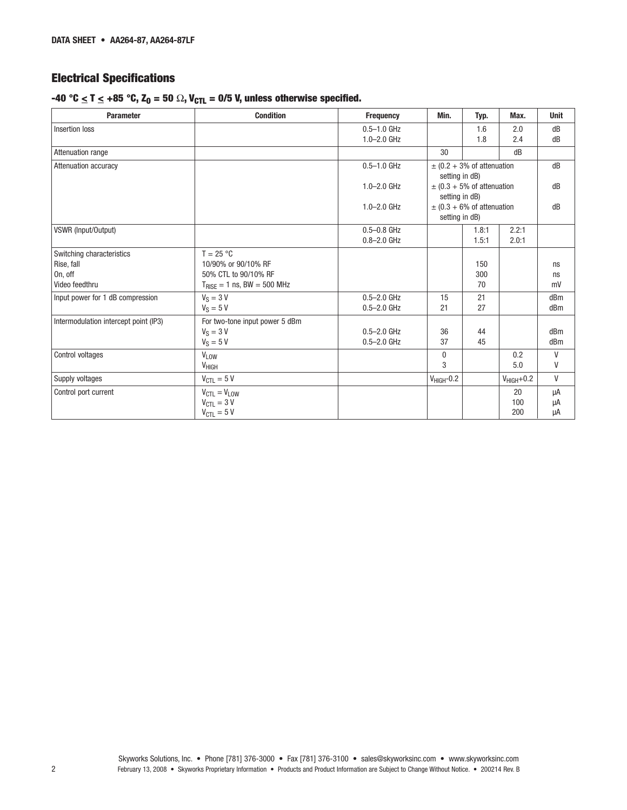# **Electrical Specifications**

## **-40 °C < T < +85 °C, ZO = 50** Ω**, VCTL = 0/5 V, unless otherwise specified.**

| <b>Parameter</b>                      | <b>Condition</b>                       | <b>Frequency</b> | Min.                           | Typ.                           | Max.             | <b>Unit</b> |
|---------------------------------------|----------------------------------------|------------------|--------------------------------|--------------------------------|------------------|-------------|
| Insertion loss                        |                                        | $0.5 - 1.0$ GHz  |                                | 1.6                            | 2.0              | dB          |
|                                       |                                        | $1.0 - 2.0$ GHz  |                                | 1.8                            | 2.4              | dB          |
| Attenuation range                     |                                        |                  | 30                             |                                | dB               |             |
| Attenuation accuracy                  |                                        | $0.5 - 1.0$ GHz  | $\pm$ (0.2 + 3% of attenuation |                                | dB               |             |
|                                       |                                        |                  |                                | setting in dB)                 |                  |             |
|                                       |                                        | $1.0 - 2.0$ GHz  |                                | $\pm$ (0.3 + 5% of attenuation |                  | dB          |
|                                       |                                        |                  | setting in dB)                 |                                |                  |             |
|                                       |                                        | $1.0 - 2.0$ GHz  |                                | $\pm$ (0.3 + 6% of attenuation |                  | dB          |
|                                       |                                        |                  | setting in dB)                 |                                |                  |             |
| VSWR (Input/Output)                   |                                        | $0.5 - 0.8$ GHz  |                                | 1.8:1                          | 2.2:1            |             |
|                                       |                                        | $0.8 - 2.0$ GHz  |                                | 1.5:1                          | 2.0:1            |             |
| Switching characteristics             | $T = 25 °C$                            |                  |                                |                                |                  |             |
| Rise, fall                            | 10/90% or 90/10% RF                    |                  |                                | 150                            |                  | ns          |
| On, off                               | 50% CTL to 90/10% RF                   |                  |                                | 300                            |                  | ns          |
| Video feedthru                        | $T_{\text{RISE}} = 1$ ns, BW = 500 MHz |                  |                                | 70                             |                  | mV          |
| Input power for 1 dB compression      | $V_S = 3 V$                            | $0.5 - 2.0$ GHz  | 15                             | 21                             |                  | dBm         |
|                                       | $V_S = 5 V$                            | $0.5 - 2.0$ GHz  | 21                             | 27                             |                  | dBm         |
| Intermodulation intercept point (IP3) | For two-tone input power 5 dBm         |                  |                                |                                |                  |             |
|                                       | $V_S = 3 V$                            | $0.5 - 2.0$ GHz  | 36                             | 44                             |                  | dBm         |
|                                       | $V_S = 5 V$                            | $0.5 - 2.0$ GHz  | 37                             | 45                             |                  | dBm         |
| Control voltages                      | <b>VLOW</b>                            |                  | $\mathbf 0$                    |                                | 0.2              | V           |
|                                       | V <sub>HIGH</sub>                      |                  | 3                              |                                | 5.0              | V           |
| Supply voltages                       | $V_{\text{CTL}} = 5 V$                 |                  | $V_{HIGH}$ -0.2                |                                | $V_{HIGH} + 0.2$ | V           |
| Control port current                  | $V_{\text{CTL}} = V_{\text{LOW}}$      |                  |                                |                                | 20               | μA          |
|                                       | $V_{\text{CTL}} = 3 V$                 |                  |                                |                                | 100              | μA          |
|                                       | $V_{\text{CTL}} = 5 V$                 |                  |                                |                                | 200              | μA          |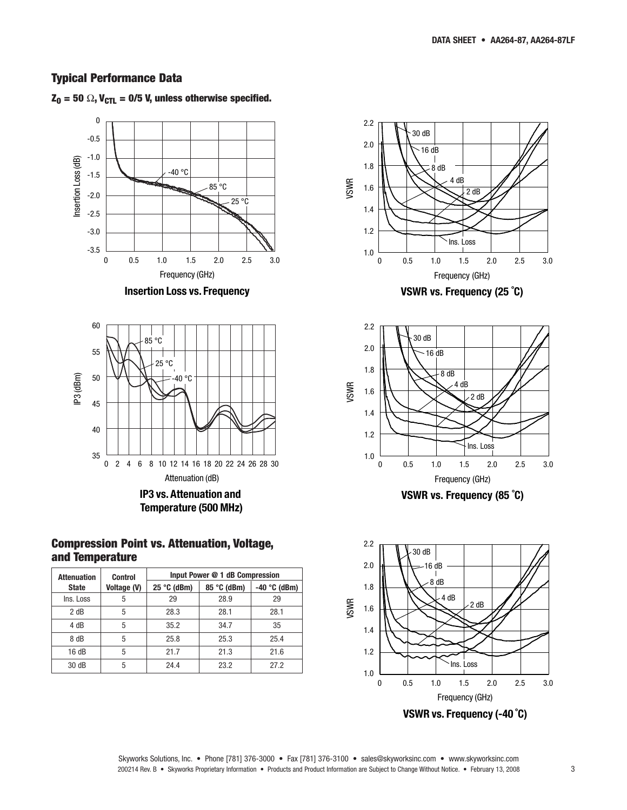### **Typical Performance Data**



 $Z_0 = 50 \Omega$ ,  $V_{\text{CTL}} = 0/5$  V, unless otherwise specified.

**Insertion Loss vs. Frequency**



**Temperature (500 MHz)**

### **Compression Point vs. Attenuation, Voltage, and Temperature**

| <b>Attenuation</b> | Input Power @ 1 dB Compression<br><b>Control</b> |               |             |                |
|--------------------|--------------------------------------------------|---------------|-------------|----------------|
| <b>State</b>       | Voltage (V)                                      | $25 °C$ (dBm) | 85 °C (dBm) | $-40$ °C (dBm) |
| Ins. Loss          | 5                                                | 29            | 28.9        | 29             |
| 2 dB               | 5                                                | 28.3          | 28.1        | 28.1           |
| 4 dB               | 5                                                | 35.2          | 34.7        | 35             |
| 8 dB               | 5                                                | 25.8          | 25.3        | 25.4           |
| 16dB               | 5                                                | 21.7          | 21.3        | 21.6           |
| 30 dB              | 5                                                | 24.4          | 23.2        | 27.2           |



**VSWR vs. Frequency (25 ˚C)**



**VSWR vs. Frequency (85 ˚C)**



Skyworks Solutions, Inc. • Phone [781] 376-3000 • Fax [781] 376-3100 • sales@skyworksinc.com • www.skyworksinc.com 200214 Rev. B • Skyworks Proprietary Information • Products and Product Information are Subject to Change Without Notice. • February 13, 2008 3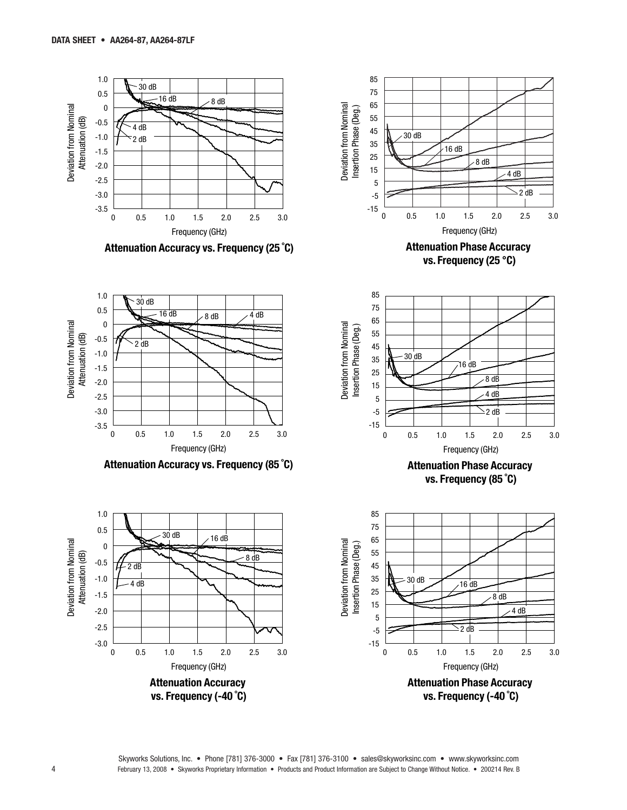

Skyworks Solutions, Inc. • Phone [781] 376-3000 • Fax [781] 376-3100 • sales@skyworksinc.com • www.skyworksinc.com February 13, 2008 • Skyworks Proprietary Information • Products and Product Information are Subject to Change Without Notice. • 200214 Rev. B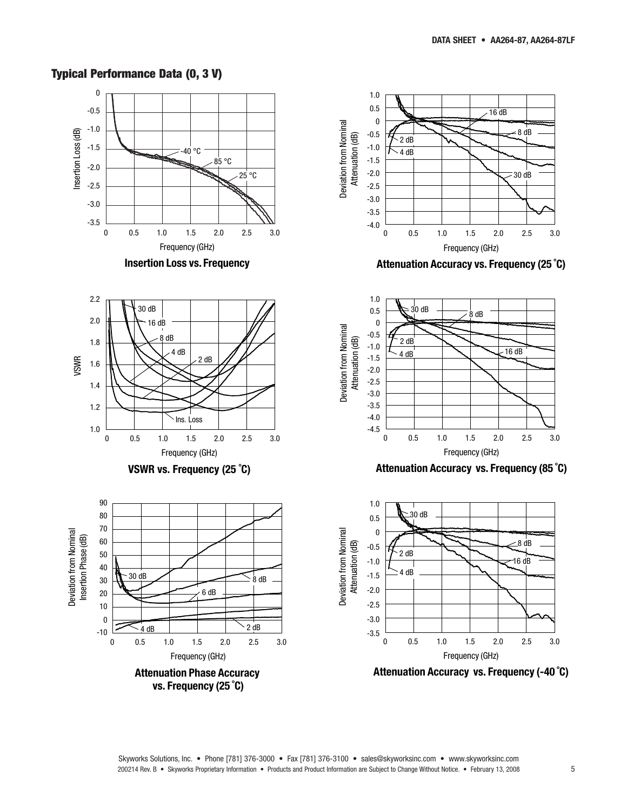### **Typical Performance Data (0, 3 V)**

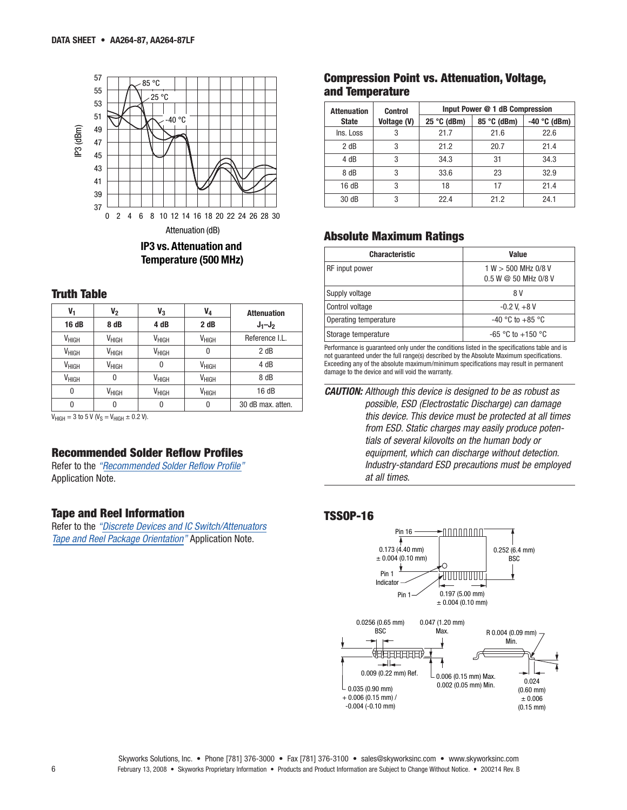

**IP3 vs. Attenuation and Temperature (500 MHz)**

#### **Truth Table**

| V1                | V <sub>2</sub>    | $V_3$             | $V_4$             | <b>Attenuation</b> |
|-------------------|-------------------|-------------------|-------------------|--------------------|
| 16 dB             | 8 dB              | 4 dB              | 2 dB              | $J_1-J_2$          |
| V <sub>HIGH</sub> | V <sub>HIGH</sub> | $V_{HIGH}$        | $V_{HIGH}$        | Reference I.L.     |
| V <sub>HIGH</sub> | $V_{HIGH}$        | V <sub>HIGH</sub> | 0                 | 2 dB               |
| V <sub>HIGH</sub> | V <sub>HIGH</sub> | 0                 | $V_{HIGH}$        | 4 dB               |
| V <sub>HIGH</sub> | 0                 | $V_{HIGH}$        | V <sub>HIGH</sub> | 8 dB               |
| 0                 | V <sub>HIGH</sub> | V <sub>HIGH</sub> | V <sub>HIGH</sub> | 16dB               |
| 0                 | 0                 | 0                 | $\theta$          | 30 dB max, atten.  |

 $V_{\text{HIGH}} = 3$  to 5 V (V<sub>S</sub> = V<sub>HIGH</sub>  $\pm$  0.2 V).

## **[Recommended](http://www.skyworksinc.com/products_display_item.asp?did=2071 ) Solder Reflow Profiles**

Refer to the *"Recommended Solder Reflow Profile"* Application Note.

#### **Tape and [Reel Information](http://www.skyworksinc.com/products_display_item.asp?did=2122 )**

Refer to the *"Discrete Devices and IC Switch/Attenuators Tape and Reel Package Orientation"* Application Note.

#### **Compression Point vs. Attenuation, Voltage, and Temperature**

| <b>Attenuation</b> | <b>Control</b> | Input Power @ 1 dB Compression |             |                |  |
|--------------------|----------------|--------------------------------|-------------|----------------|--|
| <b>State</b>       | Voltage (V)    | $25 °C$ (dBm)                  | 85 °C (dBm) | $-40$ °C (dBm) |  |
| Ins. Loss          | 3              | 21.7                           | 21.6        | 22.6           |  |
| 2 dB               | 3              | 21.2                           | 20.7        | 21.4           |  |
| 4 dB               | 3              | 34.3                           | 31          | 34.3           |  |
| 8 dB               | 3              | 33.6                           | 23          | 32.9           |  |
| 16 dB              | 3              | 18                             | 17          | 21.4           |  |
| 30 dB              | 3              | 22.4                           | 21.2        | 24.1           |  |

#### **Absolute Maximum Ratings**

| <b>Characteristic</b> | Value                                       |  |  |
|-----------------------|---------------------------------------------|--|--|
| RF input power        | 1 W > 500 MHz 0/8 V<br>0.5 W @ 50 MHz 0/8 V |  |  |
| Supply voltage        | 8 V                                         |  |  |
| Control voltage       | $-0.2$ V, $+8$ V                            |  |  |
| Operating temperature | $-40$ °C to $+85$ °C                        |  |  |
| Storage temperature   | $-65$ °C to $+150$ °C                       |  |  |

Performance is guaranteed only under the conditions listed in the specifications table and is not guaranteed under the full range(s) described by the Absolute Maximum specifications. Exceeding any of the absolute maximum/minimum specifications may result in permanent damage to the device and will void the warranty.

#### **TSSOP-16**



*CAUTION: Although this device is designed to be as robust as possible, ESD (Electrostatic Discharge) can damage this device. This device must be protected at all times from ESD. Static charges may easily produce potentials of several kilovolts on the human body or equipment, which can discharge without detection. Industry-standard ESD precautions must be employed at all times.*